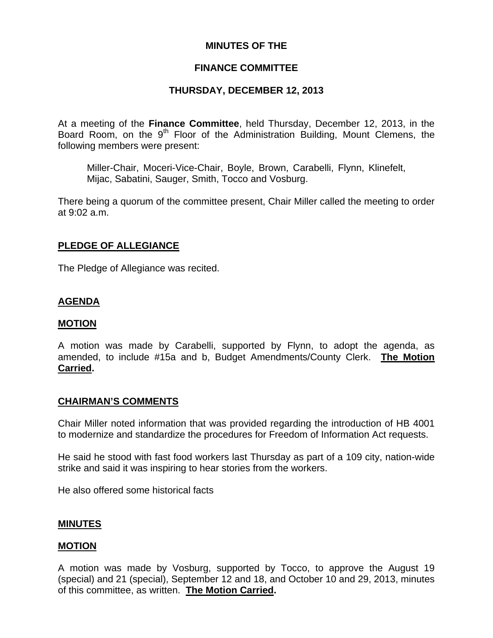### **MINUTES OF THE**

### **FINANCE COMMITTEE**

### **THURSDAY, DECEMBER 12, 2013**

At a meeting of the **Finance Committee**, held Thursday, December 12, 2013, in the Board Room, on the 9<sup>th</sup> Floor of the Administration Building, Mount Clemens, the following members were present:

Miller-Chair, Moceri-Vice-Chair, Boyle, Brown, Carabelli, Flynn, Klinefelt, Mijac, Sabatini, Sauger, Smith, Tocco and Vosburg.

There being a quorum of the committee present, Chair Miller called the meeting to order at 9:02 a.m.

### **PLEDGE OF ALLEGIANCE**

The Pledge of Allegiance was recited.

### **AGENDA**

#### **MOTION**

A motion was made by Carabelli, supported by Flynn, to adopt the agenda, as amended, to include #15a and b, Budget Amendments/County Clerk. **The Motion Carried.** 

#### **CHAIRMAN'S COMMENTS**

Chair Miller noted information that was provided regarding the introduction of HB 4001 to modernize and standardize the procedures for Freedom of Information Act requests.

He said he stood with fast food workers last Thursday as part of a 109 city, nation-wide strike and said it was inspiring to hear stories from the workers.

He also offered some historical facts

#### **MINUTES**

#### **MOTION**

A motion was made by Vosburg, supported by Tocco, to approve the August 19 (special) and 21 (special), September 12 and 18, and October 10 and 29, 2013, minutes of this committee, as written. **The Motion Carried.**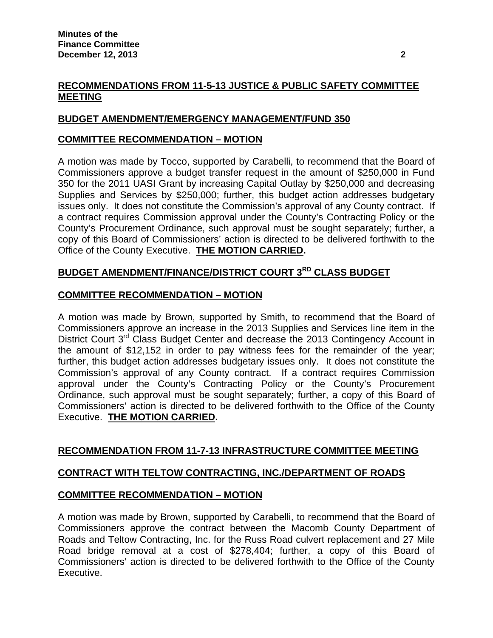## **RECOMMENDATIONS FROM 11-5-13 JUSTICE & PUBLIC SAFETY COMMITTEE MEETING**

## **BUDGET AMENDMENT/EMERGENCY MANAGEMENT/FUND 350**

### **COMMITTEE RECOMMENDATION – MOTION**

A motion was made by Tocco, supported by Carabelli, to recommend that the Board of Commissioners approve a budget transfer request in the amount of \$250,000 in Fund 350 for the 2011 UASI Grant by increasing Capital Outlay by \$250,000 and decreasing Supplies and Services by \$250,000; further, this budget action addresses budgetary issues only. It does not constitute the Commission's approval of any County contract. If a contract requires Commission approval under the County's Contracting Policy or the County's Procurement Ordinance, such approval must be sought separately; further, a copy of this Board of Commissioners' action is directed to be delivered forthwith to the Office of the County Executive. **THE MOTION CARRIED.** 

## **BUDGET AMENDMENT/FINANCE/DISTRICT COURT 3RD CLASS BUDGET**

### **COMMITTEE RECOMMENDATION – MOTION**

A motion was made by Brown, supported by Smith, to recommend that the Board of Commissioners approve an increase in the 2013 Supplies and Services line item in the District Court 3<sup>rd</sup> Class Budget Center and decrease the 2013 Contingency Account in the amount of \$12,152 in order to pay witness fees for the remainder of the year; further, this budget action addresses budgetary issues only. It does not constitute the Commission's approval of any County contract. If a contract requires Commission approval under the County's Contracting Policy or the County's Procurement Ordinance, such approval must be sought separately; further, a copy of this Board of Commissioners' action is directed to be delivered forthwith to the Office of the County Executive. **THE MOTION CARRIED.**

### **RECOMMENDATION FROM 11-7-13 INFRASTRUCTURE COMMITTEE MEETING**

### **CONTRACT WITH TELTOW CONTRACTING, INC./DEPARTMENT OF ROADS**

### **COMMITTEE RECOMMENDATION – MOTION**

A motion was made by Brown, supported by Carabelli, to recommend that the Board of Commissioners approve the contract between the Macomb County Department of Roads and Teltow Contracting, Inc. for the Russ Road culvert replacement and 27 Mile Road bridge removal at a cost of \$278,404; further, a copy of this Board of Commissioners' action is directed to be delivered forthwith to the Office of the County Executive.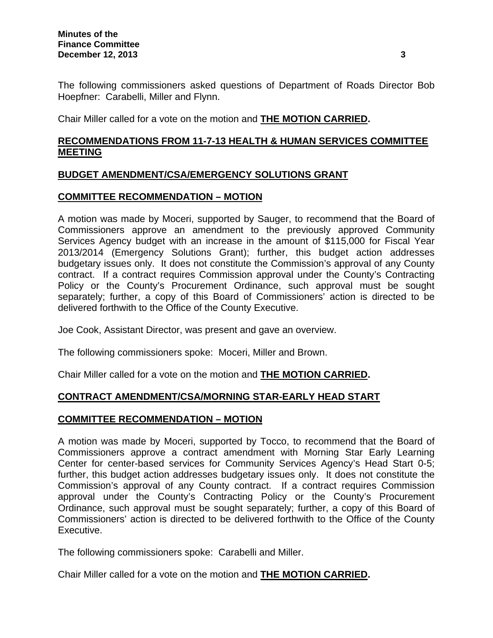The following commissioners asked questions of Department of Roads Director Bob Hoepfner: Carabelli, Miller and Flynn.

Chair Miller called for a vote on the motion and **THE MOTION CARRIED.** 

### **RECOMMENDATIONS FROM 11-7-13 HEALTH & HUMAN SERVICES COMMITTEE MEETING**

### **BUDGET AMENDMENT/CSA/EMERGENCY SOLUTIONS GRANT**

### **COMMITTEE RECOMMENDATION – MOTION**

A motion was made by Moceri, supported by Sauger, to recommend that the Board of Commissioners approve an amendment to the previously approved Community Services Agency budget with an increase in the amount of \$115,000 for Fiscal Year 2013/2014 (Emergency Solutions Grant); further, this budget action addresses budgetary issues only. It does not constitute the Commission's approval of any County contract. If a contract requires Commission approval under the County's Contracting Policy or the County's Procurement Ordinance, such approval must be sought separately; further, a copy of this Board of Commissioners' action is directed to be delivered forthwith to the Office of the County Executive.

Joe Cook, Assistant Director, was present and gave an overview.

The following commissioners spoke: Moceri, Miller and Brown.

Chair Miller called for a vote on the motion and **THE MOTION CARRIED.** 

## **CONTRACT AMENDMENT/CSA/MORNING STAR-EARLY HEAD START**

### **COMMITTEE RECOMMENDATION – MOTION**

A motion was made by Moceri, supported by Tocco, to recommend that the Board of Commissioners approve a contract amendment with Morning Star Early Learning Center for center-based services for Community Services Agency's Head Start 0-5; further, this budget action addresses budgetary issues only. It does not constitute the Commission's approval of any County contract. If a contract requires Commission approval under the County's Contracting Policy or the County's Procurement Ordinance, such approval must be sought separately; further, a copy of this Board of Commissioners' action is directed to be delivered forthwith to the Office of the County Executive.

The following commissioners spoke: Carabelli and Miller.

Chair Miller called for a vote on the motion and **THE MOTION CARRIED.**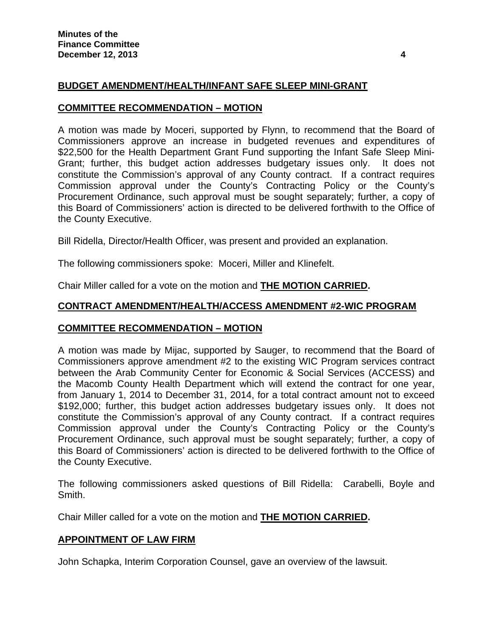### **BUDGET AMENDMENT/HEALTH/INFANT SAFE SLEEP MINI-GRANT**

#### **COMMITTEE RECOMMENDATION – MOTION**

A motion was made by Moceri, supported by Flynn, to recommend that the Board of Commissioners approve an increase in budgeted revenues and expenditures of \$22,500 for the Health Department Grant Fund supporting the Infant Safe Sleep Mini-Grant; further, this budget action addresses budgetary issues only. It does not constitute the Commission's approval of any County contract. If a contract requires Commission approval under the County's Contracting Policy or the County's Procurement Ordinance, such approval must be sought separately; further, a copy of this Board of Commissioners' action is directed to be delivered forthwith to the Office of the County Executive.

Bill Ridella, Director/Health Officer, was present and provided an explanation.

The following commissioners spoke: Moceri, Miller and Klinefelt.

Chair Miller called for a vote on the motion and **THE MOTION CARRIED.** 

### **CONTRACT AMENDMENT/HEALTH/ACCESS AMENDMENT #2-WIC PROGRAM**

#### **COMMITTEE RECOMMENDATION – MOTION**

A motion was made by Mijac, supported by Sauger, to recommend that the Board of Commissioners approve amendment #2 to the existing WIC Program services contract between the Arab Community Center for Economic & Social Services (ACCESS) and the Macomb County Health Department which will extend the contract for one year, from January 1, 2014 to December 31, 2014, for a total contract amount not to exceed \$192,000; further, this budget action addresses budgetary issues only. It does not constitute the Commission's approval of any County contract. If a contract requires Commission approval under the County's Contracting Policy or the County's Procurement Ordinance, such approval must be sought separately; further, a copy of this Board of Commissioners' action is directed to be delivered forthwith to the Office of the County Executive.

The following commissioners asked questions of Bill Ridella: Carabelli, Boyle and Smith.

Chair Miller called for a vote on the motion and **THE MOTION CARRIED.** 

#### **APPOINTMENT OF LAW FIRM**

John Schapka, Interim Corporation Counsel, gave an overview of the lawsuit.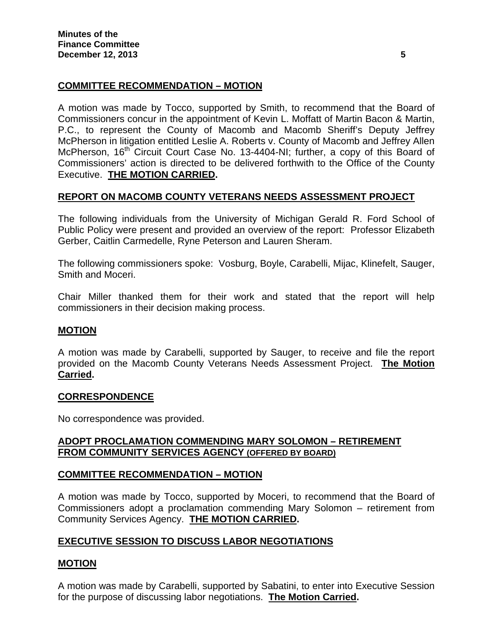## **COMMITTEE RECOMMENDATION – MOTION**

A motion was made by Tocco, supported by Smith, to recommend that the Board of Commissioners concur in the appointment of Kevin L. Moffatt of Martin Bacon & Martin, P.C., to represent the County of Macomb and Macomb Sheriff's Deputy Jeffrey McPherson in litigation entitled Leslie A. Roberts v. County of Macomb and Jeffrey Allen McPherson, 16<sup>th</sup> Circuit Court Case No. 13-4404-NI; further, a copy of this Board of Commissioners' action is directed to be delivered forthwith to the Office of the County Executive. **THE MOTION CARRIED.**

### **REPORT ON MACOMB COUNTY VETERANS NEEDS ASSESSMENT PROJECT**

The following individuals from the University of Michigan Gerald R. Ford School of Public Policy were present and provided an overview of the report: Professor Elizabeth Gerber, Caitlin Carmedelle, Ryne Peterson and Lauren Sheram.

The following commissioners spoke: Vosburg, Boyle, Carabelli, Mijac, Klinefelt, Sauger, Smith and Moceri.

Chair Miller thanked them for their work and stated that the report will help commissioners in their decision making process.

#### **MOTION**

A motion was made by Carabelli, supported by Sauger, to receive and file the report provided on the Macomb County Veterans Needs Assessment Project. **The Motion Carried.** 

#### **CORRESPONDENCE**

No correspondence was provided.

### **ADOPT PROCLAMATION COMMENDING MARY SOLOMON – RETIREMENT FROM COMMUNITY SERVICES AGENCY (OFFERED BY BOARD)**

### **COMMITTEE RECOMMENDATION – MOTION**

A motion was made by Tocco, supported by Moceri, to recommend that the Board of Commissioners adopt a proclamation commending Mary Solomon – retirement from Community Services Agency. **THE MOTION CARRIED.** 

### **EXECUTIVE SESSION TO DISCUSS LABOR NEGOTIATIONS**

### **MOTION**

A motion was made by Carabelli, supported by Sabatini, to enter into Executive Session for the purpose of discussing labor negotiations. **The Motion Carried.**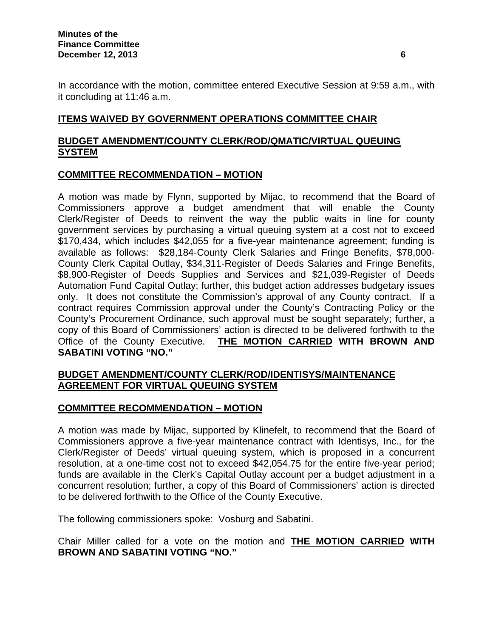In accordance with the motion, committee entered Executive Session at 9:59 a.m., with it concluding at 11:46 a.m.

### **ITEMS WAIVED BY GOVERNMENT OPERATIONS COMMITTEE CHAIR**

### **BUDGET AMENDMENT/COUNTY CLERK/ROD/QMATIC/VIRTUAL QUEUING SYSTEM**

### **COMMITTEE RECOMMENDATION – MOTION**

A motion was made by Flynn, supported by Mijac, to recommend that the Board of Commissioners approve a budget amendment that will enable the County Clerk/Register of Deeds to reinvent the way the public waits in line for county government services by purchasing a virtual queuing system at a cost not to exceed \$170,434, which includes \$42,055 for a five-year maintenance agreement; funding is available as follows: \$28,184-County Clerk Salaries and Fringe Benefits, \$78,000- County Clerk Capital Outlay, \$34,311-Register of Deeds Salaries and Fringe Benefits, \$8,900-Register of Deeds Supplies and Services and \$21,039-Register of Deeds Automation Fund Capital Outlay; further, this budget action addresses budgetary issues only. It does not constitute the Commission's approval of any County contract. If a contract requires Commission approval under the County's Contracting Policy or the County's Procurement Ordinance, such approval must be sought separately; further, a copy of this Board of Commissioners' action is directed to be delivered forthwith to the Office of the County Executive. **THE MOTION CARRIED WITH BROWN AND SABATINI VOTING "NO."** 

### **BUDGET AMENDMENT/COUNTY CLERK/ROD/IDENTISYS/MAINTENANCE AGREEMENT FOR VIRTUAL QUEUING SYSTEM**

### **COMMITTEE RECOMMENDATION – MOTION**

A motion was made by Mijac, supported by Klinefelt, to recommend that the Board of Commissioners approve a five-year maintenance contract with Identisys, Inc., for the Clerk/Register of Deeds' virtual queuing system, which is proposed in a concurrent resolution, at a one-time cost not to exceed \$42,054.75 for the entire five-year period; funds are available in the Clerk's Capital Outlay account per a budget adjustment in a concurrent resolution; further, a copy of this Board of Commissioners' action is directed to be delivered forthwith to the Office of the County Executive.

The following commissioners spoke: Vosburg and Sabatini.

Chair Miller called for a vote on the motion and **THE MOTION CARRIED WITH BROWN AND SABATINI VOTING "NO."**